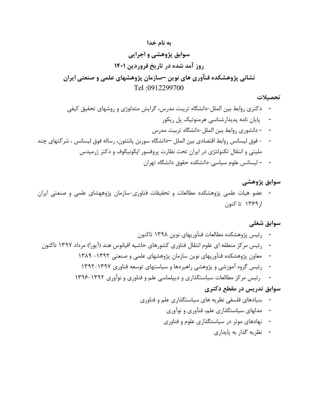#### به نام خدا

سوابق پژوهشي و اجرايي روز آمد شده در تاريخ فروردين ١٤٠١ نشاني پژوهشكده فنآوري هاي نوين –سازمان پژوهشهاي علمي و صنعتي ايران Tel :0912299700

#### تحصيلات

- دكتري روابط بين الملل-دانشگاه تريبت مدرس، گرايش متدلوژي و روشهاي تحقيق كيفي - پايان نامه پديدارشناسي هرمنوتيك پل ريكور - - دانشوري روابط بين الملل-دانشگاه تربيت مدرس - - فوق ليسانس روابط اقتصادي بين الملل –دانشگاه سوربن پانتئون، رساله فوق ليسانس ، شركتهاي چند مليتي و انتقال تكنولئژي در ايران تحت نظارت پروفسور ايكونيكوف و دكتر ژرميدس - - ليسانس علوم سياسي-دانشكده حقوق دانشگاه تهران

#### سوابق پژوهشي

- عضو هيات علمي پژوهشكده مطالعات و تحقيقات فناوري-سازمان پژوههشاي علمي و صنعتي ايران از١٣٦٩ تا كنون

#### سوابق شغلي

- رئيس پژوهشكده مطالعات فنآوريهاي نوين ١٣٩٨ تاكنون - رئيس مركز منطقه اي علوم انتقال فناوري كشورهاي حاشيه اقيانوس هند (آيورا) مرداد ١٣٩٧ تاكنون - معاون پژوهشكده فنآوريهاي نوين سازمان پژوهشهاي علمي و صنعتي -١٣٩٢ ١٣٨٩ - رئيس گروه آموزشي و پژوهشي راهبردها و سياستهاي توسعه فناوري ١٣٩٢-١٣٩٧ - رئيس مركز مطالعات سياستگذاري و ديپلماسي علم و فناوري و نوآوري ١٣٩٦-١٣٩٢ سوابق تدريس در مقطع دكتري - بنيادهاي فلسفي نظريه هاي سياستگذاري علم و فناوري
	- مدلهاي سياستگذاري علم، فنآوري و نوآوري
	- نهادهاي موثر در سياستگذاري علوم و فناوري
		- نظريه گذار به پايداري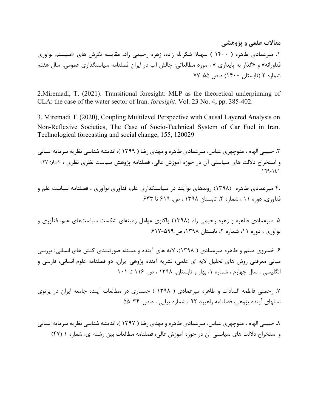مقالات علمي و پژوهشي

.١ ميرعمادي طاهره ( ١٤٠٠ ) سهيلا شكراالله زاده، زهره رحيمي راد، مقايسه نگرش هاي «سيستم نوآوري فناورانه» و «گذار به پايداري » ؛ مورد مطالعاتي: چالش آب در ايران فصلنامه سياستگذاري عمومي، سال هفتم شماره ٢ (تابستان ١٤٠٠) صص ٧٧-٥٥

2.Miremadi, T. (2021). Transitional foresight: MLP as the theoretical underpinning of CLA: the case of the water sector of Iran. foresight. Vol. 23 No. 4, pp. 385-402.

3. Miremadi T. (2020), Coupling Multilevel Perspective with Causal Layered Analysis on Non-Reflexive Societies, The Case of Socio-Technical System of Car Fuel in Iran. Technological forecasting and social change, 155, 120029

.٣ حبيبي الهام ، منوچهري عباس، ميرعمادي طاهره و مهدي رضا ( ١٣٩٩ )، انديشه شناسي نظريه سرمايه انساني و استخراج دلالت هاي سياستي آن در حوزه آموزش عالي، فصلنامه پژوهش سياست نظري نظري ، شماره ،٢٧ ١٦٩-١٤١

٤. ميرعمادي طاهره (١٣٩٨) روندهاي نوآيند در سياستگذاري علم، فنآوري نوآوري ، فصلنامه سياست علم و فنآوري، دوره ١١ ، شماره ،٢ تابستان ١٣٩٨ ، ص. ٦١٩ تا ٦٣٣

.٥ ميرعمادي طاهره و زهره رحيمي راد (١٣٩٨) واكاوي عوامل زمينهاي شكست سياستهاي علم، فنآوري و نوآوري ، دوره ،١١ شماره ،٢ تابستان ،١٣٩٨ ص٦١٧-٥٩٩.

.٦ خسروي ميثم و طاهره ميرعمادي ( ١٣٩٨)، لايه هاي آينده و مسئله صورتبندي كنش هاي انساني: بررسي مباني معرفتي روش هاي تحليل لايه اي علمي، نشريه آينده پژوهي ايران، دو فصلنامه علوم انساني، فارسي و انگليسي ، سال چهارم ، شماره ،١ بهار و تابستان، ١٣٩٨ ، ص. ١١٦ تا ١٠١

.٧ رحمتي فاطمه السادات و طاهره ميرعمادي ( ١٣٩٨ ) جستاري در مطالعات آينده جامعه ايران در پرتوي نسلهاي آينده پژوهي، فصلنامه راهبرد ٩٢ ، شماره پياپي ، صص. ٥٥-٣٤

.٨ حبيبي الهام ، منوچهري عباس، ميرعمادي طاهره و مهدي رضا ( ١٣٩٧ )، انديشه شناسي نظريه سرمايه انساني و استخراج دلالت هاي سياستي آن در حوزه آموزش عالي، فصلنامه مطالعات بين رشته اي، شماره ١ (٤٧)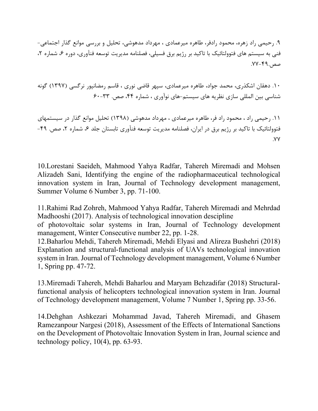.٩ رحيمي راد زهره، محمود رادفر، طاهره ميرعمادي ، مهرداد مدهوشي، تحليل و بررسي موانع گذار اجتماعي- فني به سيستم هاي فتوولتائيك با تاكيد بر رژيم برق فسيلي، فصلنامه مديريت توسعه فنآوري، دوره ۶، شماره ۲، صص.٧٧-٤٩.

.١٠ دهقان اشكذري، محمد جواد، طاهره ميرعمادي، سپهر قاضي نوري ، قاسم رمضانپور نرگسي (١٣٩٧) گونه شناسي بين المللي سازي نظريه هاي سيستم-هاي نوآوري ، شماره ،٤٤ صص. ٦٠-٣٣

.١١ رحيمي راد ، محمود راد فر، طاهره ميرعمادي ، مهرداد مدهوشي (١٣٩٨) تحليل موانع گذار در سيستمهاي فتوولتائيك با تاكيد بر رژيم برق در ايران، فصلنامه مديريت توسعه فنآوري تابستان جلد ۶، شماره ۲، صص. ۴۹-.٧٧

10.Lorestani Saeideh, Mahmood Yahya Radfar, Tahereh Miremadi and Mohsen Alizadeh Sani, Identifying the engine of the radiopharmaceutical technological innovation system in Iran, Journal of Technology development management, Summer Volume 6 Number 3, pp. 71-100.

11.Rahimi Rad Zohreh, Mahmood Yahya Radfar, Tahereh Miremadi and Mehrdad Madhooshi (2017). Analysis of technological innovation descipline

of photovoltaic solar systems in Iran, Journal of Technology development management, Winter Consecutive number 22, pp. 1-28.

12.Baharlou Mehdi, Tahereh Miremadi, Mehdi Elyasi and Alireza Bushehri (2018) Explanation and structural-functional analysis of UAVs technological innovation system in Iran. Journal of Technology development management, Volume 6 Number 1, Spring pp. 47-72.

13.Miremadi Tahereh, Mehdi Baharlou and Maryam Behzadifar (2018) Structuralfunctional analysis of helicopters technological innovation system in Iran. Journal of Technology development management, Volume 7 Number 1, Spring pp. 33-56.

14.Dehghan Ashkezari Mohammad Javad, Tahereh Miremadi, and Ghasem Ramezanpour Nargesi (2018), Assessment of the Effects of International Sanctions on the Development of Photovoltaic Innovation System in Iran, Journal science and technology policy,  $10(4)$ , pp. 63-93.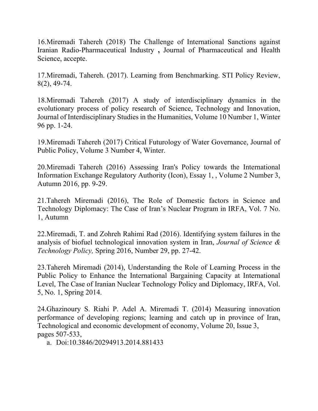16.Miremadi Tahereh (2018) The Challenge of International Sanctions against Iranian Radio-Pharmaceutical Industry , Journal of Pharmaceutical and Health Science, accepte.

17.Miremadi, Tahereh. (2017). Learning from Benchmarking. STI Policy Review, 8(2), 49-74.

18.Miremadi Tahereh (2017) A study of interdisciplinary dynamics in the evolutionary process of policy research of Science, Technology and Innovation, Journal of Interdisciplinary Studies in the Humanities, Volume 10 Number 1, Winter 96 pp. 1-24.

19.Miremadi Tahereh (2017) Critical Futurology of Water Governance, Journal of Public Policy, Volume 3 Number 4, Winter.

20.Miremadi Tahereh (2016) Assessing Iran's Policy towards the International Information Exchange Regulatory Authority (Icon), Essay 1, , Volume 2 Number 3, Autumn 2016, pp. 9-29.

21.Tahereh Miremadi (2016), The Role of Domestic factors in Science and Technology Diplomacy: The Case of Iran's Nuclear Program in IRFA, Vol. 7 No. 1, Autumn

22.Miremadi, T. and Zohreh Rahimi Rad (2016). Identifying system failures in the analysis of biofuel technological innovation system in Iran, Journal of Science & Technology Policy, Spring 2016, Number 29, pp. 27-42.

23.Tahereh Miremadi (2014), Understanding the Role of Learning Process in the Public Policy to Enhance the International Bargaining Capacity at International Level, The Case of Iranian Nuclear Technology Policy and Diplomacy, IRFA, Vol. 5, No. 1, Spring 2014.

24.Ghazinoury S. Riahi P. Adel A. Miremadi T. (2014) Measuring innovation performance of developing regions; learning and catch up in province of Iran, Technological and economic development of economy, Volume 20, Issue 3, pages 507-533,

a. Doi:10.3846/20294913.2014.881433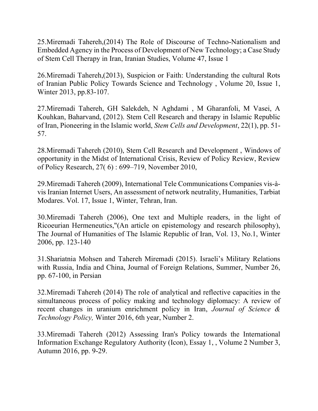25.Miremadi Tahereh,(2014) The Role of Discourse of Techno-Nationalism and Embedded Agency in the Process of Development of New Technology; a Case Study of Stem Cell Therapy in Iran, Iranian Studies, Volume 47, Issue 1

26.Miremadi Tahereh,(2013), Suspicion or Faith: Understanding the cultural Rots of Iranian Public Policy Towards Science and Technology , Volume 20, Issue 1, Winter 2013, pp.83-107.

27.Miremadi Tahereh, GH Salekdeh, N Aghdami , M Gharanfoli, M Vasei, A Kouhkan, Baharvand, (2012). Stem Cell Research and therapy in Islamic Republic of Iran, Pioneering in the Islamic world, Stem Cells and Development, 22(1), pp. 51- 57.

28.Miremadi Tahereh (2010), Stem Cell Research and Development , Windows of opportunity in the Midst of International Crisis, Review of Policy Review, Review of Policy Research, 27( 6) : 699–719, November 2010,

29.Miremadi Tahereh (2009), International Tele Communications Companies vis-àvis Iranian Internet Users, An assessment of network neutrality, Humanities, Tarbiat Modares. Vol. 17, Issue 1, Winter, Tehran, Iran.

30.Miremadi Tahereh (2006), One text and Multiple readers, in the light of Ricoeurian Hermeneutics,"(An article on epistemology and research philosophy), The Journal of Humanities of The Islamic Republic of Iran, Vol. 13, No.1, Winter 2006, pp. 123-140

31.Shariatnia Mohsen and Tahereh Miremadi (2015). Israeli's Military Relations with Russia, India and China, Journal of Foreign Relations, Summer, Number 26, pp. 67-100, in Persian

32.Miremadi Tahereh (2014) The role of analytical and reflective capacities in the simultaneous process of policy making and technology diplomacy: A review of recent changes in uranium enrichment policy in Iran, Journal of Science & Technology Policy, Winter 2016, 6th year, Number 2.

33.Miremadi Tahereh (2012) Assessing Iran's Policy towards the International Information Exchange Regulatory Authority (Icon), Essay 1, , Volume 2 Number 3, Autumn 2016, pp. 9-29.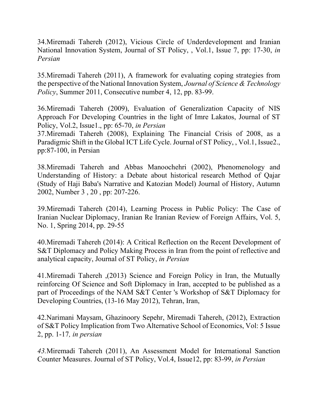34.Miremadi Tahereh (2012), Vicious Circle of Underdevelopment and Iranian National Innovation System, Journal of ST Policy, , Vol.1, Issue 7, pp: 17-30, in Persian

35.Miremadi Tahereh (2011), A framework for evaluating coping strategies from the perspective of the National Innovation System, Journal of Science & Technology Policy, Summer 2011, Consecutive number 4, 12, pp. 83-99.

36.Miremadi Tahereh (2009), Evaluation of Generalization Capacity of NIS Approach For Developing Countries in the light of Imre Lakatos, Journal of ST Policy, Vol.2, Issue1., pp: 65-70, in Persian

37.Miremadi Tahereh (2008), Explaining The Financial Crisis of 2008, as a Paradigmic Shift in the Global ICT Life Cycle. Journal of ST Policy, , Vol.1, Issue2., pp:87-100, in Persian

38.Miremadi Tahereh and Abbas Manoochehri (2002), Phenomenology and Understanding of History: a Debate about historical research Method of Qajar (Study of Haji Baba's Narrative and Katozian Model) Journal of History, Autumn 2002, Number 3 , 20 , pp: 207-226.

39.Miremadi Tahereh (2014), Learning Process in Public Policy: The Case of Iranian Nuclear Diplomacy, Iranian Re Iranian Review of Foreign Affairs, Vol. 5, No. 1, Spring 2014, pp. 29-55

40.Miremadi Tahereh (2014): A Critical Reflection on the Recent Development of S&T Diplomacy and Policy Making Process in Iran from the point of reflective and analytical capacity, Journal of ST Policy, in Persian

41.Miremadi Tahereh ,(2013) Science and Foreign Policy in Iran, the Mutually reinforcing Of Science and Soft Diplomacy in Iran, accepted to be published as a part of Proceedings of the NAM S&T Center 's Workshop of S&T Diplomacy for Developing Countries, (13-16 May 2012), Tehran, Iran,

42.Narimani Maysam, Ghazinoory Sepehr, Miremadi Tahereh, (2012), Extraction of S&T Policy Implication from Two Alternative School of Economics, Vol: 5 Issue 2, pp. 1-17, in persian

43.Miremadi Tahereh (2011), An Assessment Model for International Sanction Counter Measures. Journal of ST Policy, Vol.4, Issue12, pp: 83-99, in Persian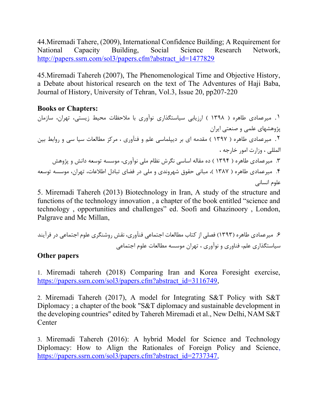44.Miremadi Tahere, (2009), International Confidence Building; A Requirement for National Capacity Building, Social Science Research Network, http://papers.ssrn.com/sol3/papers.cfm?abstract\_id=1477829

45.Miremadi Tahereh (2007), The Phenomenological Time and Objective History, a Debate about historical research on the text of The Adventures of Haji Baba, Journal of History, University of Tehran, Vol.3, Issue 20, pp207-220

#### Books or Chapters:

.١ ميرعمادي طاهره ( ١٣٩٨ ) ارزيابي سياستگذاري نوآوري با ملاحظات محيط زيستي، تهران، سازمان پژوهشهاي علمي و صنعتي ايران .٢ ميرعمادي طاهره ( ١٣٩٧ ) مقدمه اي بر ديپلماسي علم و فنآوري ، مركز مطالعات سيا سي و روابط بين المللي ، وزارت امور خارجه ، .٣ ميرعمادي طاهره ( ١٣٩٤ ) ده مقاله اساسي نگرش نظام ملي نوآوري، موسسه توسعه دانش و پژوهش .٤ ميرعمادي طاهره ( ١٣٨٧ )، مباني حقوق شهروندي و ملي در فضاي تبادل اطلاعات، تهران، موسسه توسعه علوم انساني

5. Miremadi Tahereh (2013) Biotechnology in Iran, A study of the structure and functions of the technology innovation , a chapter of the book entitled "science and technology , opportunities and challenges" ed. Soofi and Ghazinoory , London, Palgrave and Mc Millan,

.٦ ميرعمادي طاهره (١٣٩٣) فصلي از كتاب مطالعات اجتماعي فنآوري، نقش روشنگري علوم اجتماعي در فرآيند سياستگذاري علم، فناوري و نوآوري ، تهران موسسه مطالعات علوم اجتماعي

#### Other papers

1. Miremadi tahereh (2018) Comparing Iran and Korea Foresight exercise, https://papers.ssrn.com/sol3/papers.cfm?abstract\_id=3116749,

2. Miremadi Tahereh (2017), A model for Integrating S&T Policy with S&T Diplomacy ; a chapter of the book "S&T diplomacy and sustainable development in the developing countries" edited by Tahereh Miremadi et al., New Delhi, NAM S&T **Center** 

3. Miremadi Tahereh (2016): A hybrid Model for Science and Technology Diplomacy: How to Align the Rationales of Foreign Policy and Science, https://papers.ssrn.com/sol3/papers.cfm?abstract\_id=2737347,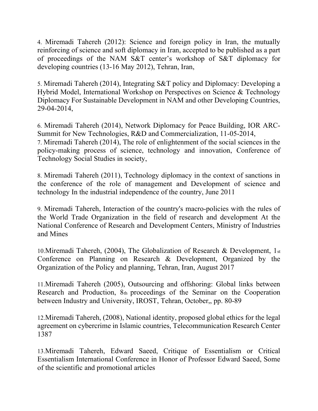4. Miremadi Tahereh (2012): Science and foreign policy in Iran, the mutually reinforcing of science and soft diplomacy in Iran, accepted to be published as a part of proceedings of the NAM S&T center's workshop of S&T diplomacy for developing countries (13-16 May 2012), Tehran, Iran,

5. Miremadi Tahereh (2014), Integrating S&T policy and Diplomacy: Developing a Hybrid Model, International Workshop on Perspectives on Science & Technology Diplomacy For Sustainable Development in NAM and other Developing Countries, 29-04-2014,

6. Miremadi Tahereh (2014), Network Diplomacy for Peace Building, IOR ARC-Summit for New Technologies, R&D and Commercialization, 11-05-2014, 7. Miremadi Tahereh (2014), The role of enlightenment of the social sciences in the

policy-making process of science, technology and innovation, Conference of Technology Social Studies in society,

8. Miremadi Tahereh (2011), Technology diplomacy in the context of sanctions in the conference of the role of management and Development of science and technology In the industrial independence of the country, June 2011

9. Miremadi Tahereh, Interaction of the country's macro-policies with the rules of the World Trade Organization in the field of research and development At the National Conference of Research and Development Centers, Ministry of Industries and Mines

10.Miremadi Tahereh, (2004), The Globalization of Research & Development, 1st Conference on Planning on Research & Development, Organized by the Organization of the Policy and planning, Tehran, Iran, August 2017

11.Miremadi Tahereh (2005), Outsourcing and offshoring: Global links between Research and Production, 8th proceedings of the Seminar on the Cooperation between Industry and University, IROST, Tehran, October,, pp. 80-89

12.Miremadi Tahereh, (2008), National identity, proposed global ethics for the legal agreement on cybercrime in Islamic countries, Telecommunication Research Center 1387

13.Miremadi Tahereh, Edward Saeed, Critique of Essentialism or Critical Essentialism International Conference in Honor of Professor Edward Saeed, Some of the scientific and promotional articles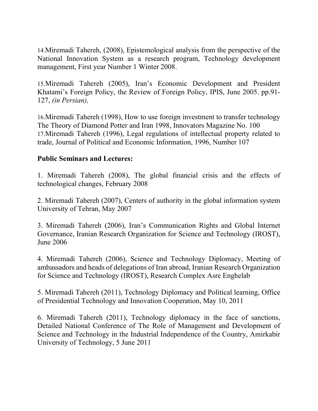14.Miremadi Tahereh, (2008), Epistemological analysis from the perspective of the National Innovation System as a research program, Technology development management, First year Number 1 Winter 2008.

15.Miremadi Tahereh (2005), Iran's Economic Development and President Khatami's Foreign Policy, the Review of Foreign Policy, IPIS, June 2005. pp.91- 127, (in Persian),

16.Miremadi Tahereh (1998), How to use foreign investment to transfer technology The Theory of Diamond Potter and Iran 1998, Innovators Magazine No. 100 17.Miremadi Tahereh (1996), Legal regulations of intellectual property related to trade, Journal of Political and Economic Information, 1996, Number 107

## Public Seminars and Lectures:

1. Miremadi Tahereh (2008), The global financial crisis and the effects of technological changes, February 2008

2. Miremadi Tahereh (2007), Centers of authority in the global information system University of Tehran, May 2007

3. Miremadi Tahereh (2006), Iran's Communication Rights and Global Internet Governance, Iranian Research Organization for Science and Technology (IROST), June 2006

4. Miremadi Tahereh (2006), Science and Technology Diplomacy, Meeting of ambassadors and heads of delegations of Iran abroad, Iranian Research Organization for Science and Technology (IROST), Research Complex Asre Enghelab

5. Miremadi Tahereh (2011), Technology Diplomacy and Political learning, Office of Presidential Technology and Innovation Cooperation, May 10, 2011

6. Miremadi Tahereh (2011), Technology diplomacy in the face of sanctions, Detailed National Conference of The Role of Management and Development of Science and Technology in the Industrial Independence of the Country, Amirkabir University of Technology, 5 June 2011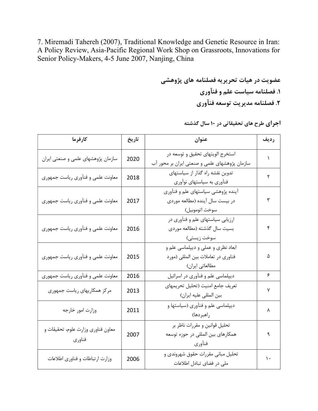7. Miremadi Tahereh (2007), Traditional Knowledge and Genetic Resource in Iran: A Policy Review, Asia-Pacific Regional Work Shop on Grassroots, Innovations for Senior Policy-Makers, 4-5 June 2007, Nanjing, China

> عضويت در هيات تحريريه فصلنامه هاي پژوهشي .١ فصلنامه سياست علم و فنآوري .٢ فصلنامه مديريت توسعه فنآوري

> > اجراي طرح هاي تحقيقاتي در ١٠ سال گذشته

| كارفرما                                      | تاريخ | عنوان                                                                                       | رديف |
|----------------------------------------------|-------|---------------------------------------------------------------------------------------------|------|
| سازمان پژوهشهای علمی و صنعتی ایران           | 2020  | استخرج الويتهاى تحقيق و توسعه در<br>سازمان پژوهشهای علمی و صنعتی ایران بر محور آب           | ١    |
| معاونت علمی و فنآوری ریاست جمهوری            | 2018  | تدوین نقشه راه گذار از سیاستهای<br>فنآوری به سیاستهای نوآوری                                | ٢    |
| معاونت علمی و فنآوری ریاست جمهوری            | 2017  | آینده پژوهشی سیاستهای علم و فنآوری<br>در بیست سال آینده (مطالعه موردی<br>سوخت اتوموبيل)     | ٣    |
| معاونت علمی و فنآوری ریاست جمهوری            | 2016  | ارزیابی سیاستهای علم و فنآوری در<br>بسيت سال گذشته (مطالعه موردي<br>سوخت زيستى)             | ۴    |
| معاونت علمی و فنآوری ریاست جمهوری            | 2015  | ابعاد نظري و عملي و ديپلماسي علم و<br>فناوري در تعاملات بين المللي (مورد<br>مطالعاتي ايران) | ۵    |
| معاونت علمی و فنآوری ریاست جمهوری            | 2016  | دیپلماسی علم و فنآوری در اسرائیل                                                            | ۶    |
| مرکز همکاریهای ریاست جمهوری                  | 2013  | تعريف جامع امنيت (تحليل تحريمهاي<br>بين المللي عليه ايران)                                  | ٧    |
| وزارت امور خارجه                             | 2011  | دیپلماسی علم و فنآوری (سیاستها و<br>راهبردها)                                               | ٨    |
| معاون فناوري وزارت علوم، تحقيقات و<br>فناوري | 2007  | تحليل قوانين و مقررات ناظر بر<br>همکارهای بین المللی در حوزه توسعه<br>فنآوري                | ٩    |
| وزارت ارتباطات و فناوري اطلاعات              | 2006  | تحلیل مبانی مقررات حقوق شهروندی و<br>ملی در فضای تبادل اطلاعات                              | ١.   |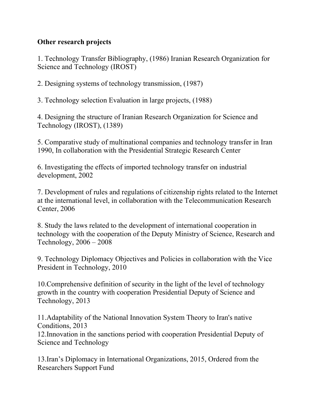## Other research projects

1. Technology Transfer Bibliography, (1986) Iranian Research Organization for Science and Technology (IROST)

2. Designing systems of technology transmission, (1987)

3. Technology selection Evaluation in large projects, (1988)

4. Designing the structure of Iranian Research Organization for Science and Technology (IROST), (1389)

5. Comparative study of multinational companies and technology transfer in Iran 1990, In collaboration with the Presidential Strategic Research Center

6. Investigating the effects of imported technology transfer on industrial development, 2002

7. Development of rules and regulations of citizenship rights related to the Internet at the international level, in collaboration with the Telecommunication Research Center, 2006

8. Study the laws related to the development of international cooperation in technology with the cooperation of the Deputy Ministry of Science, Research and Technology, 2006 – 2008

9. Technology Diplomacy Objectives and Policies in collaboration with the Vice President in Technology, 2010

10.Comprehensive definition of security in the light of the level of technology growth in the country with cooperation Presidential Deputy of Science and Technology, 2013

11.Adaptability of the National Innovation System Theory to Iran's native Conditions, 2013

12.Innovation in the sanctions period with cooperation Presidential Deputy of Science and Technology

13.Iran's Diplomacy in International Organizations, 2015, Ordered from the Researchers Support Fund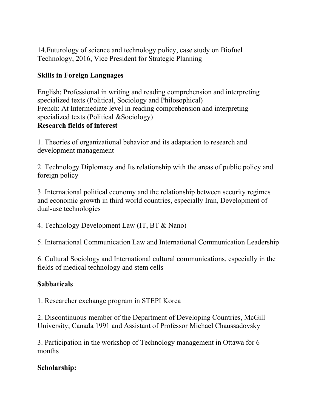14.Futurology of science and technology policy, case study on Biofuel Technology, 2016, Vice President for Strategic Planning

## Skills in Foreign Languages

English; Professional in writing and reading comprehension and interpreting specialized texts (Political, Sociology and Philosophical) French: At Intermediate level in reading comprehension and interpreting specialized texts (Political &Sociology) Research fields of interest

1. Theories of organizational behavior and its adaptation to research and development management

2. Technology Diplomacy and Its relationship with the areas of public policy and foreign policy

3. International political economy and the relationship between security regimes and economic growth in third world countries, especially Iran, Development of dual-use technologies

4. Technology Development Law (IT, BT & Nano)

5. International Communication Law and International Communication Leadership

6. Cultural Sociology and International cultural communications, especially in the fields of medical technology and stem cells

#### **Sabbaticals**

1. Researcher exchange program in STEPI Korea

2. Discontinuous member of the Department of Developing Countries, McGill University, Canada 1991 and Assistant of Professor Michael Chaussadovsky

3. Participation in the workshop of Technology management in Ottawa for 6 months

## Scholarship: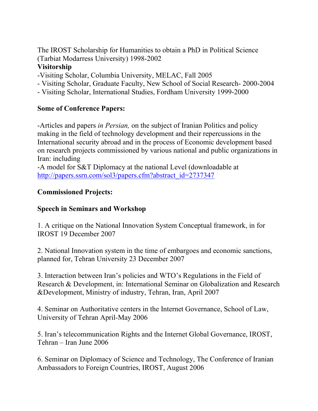The IROST Scholarship for Humanities to obtain a PhD in Political Science (Tarbiat Modarress University) 1998-2002

## Visitorship

- -Visiting Scholar, Columbia University, MELAC, Fall 2005
- Visiting Scholar, Graduate Faculty, New School of Social Research- 2000-2004
- Visiting Scholar, International Studies, Fordham University 1999-2000

## Some of Conference Papers:

-Articles and papers in Persian, on the subject of Iranian Politics and policy making in the field of technology development and their repercussions in the International security abroad and in the process of Economic development based on research projects commissioned by various national and public organizations in Iran: including

-A model for S&T Diplomacy at the national Level (downloadable at http://papers.ssrn.com/sol3/papers.cfm?abstract\_id=2737347

# Commissioned Projects:

## Speech in Seminars and Workshop

1. A critique on the National Innovation System Conceptual framework, in for IROST 19 December 2007

2. National Innovation system in the time of embargoes and economic sanctions, planned for, Tehran University 23 December 2007

3. Interaction between Iran's policies and WTO's Regulations in the Field of Research & Development, in: International Seminar on Globalization and Research &Development, Ministry of industry, Tehran, Iran, April 2007

4. Seminar on Authoritative centers in the Internet Governance, School of Law, University of Tehran April-May 2006

5. Iran's telecommunication Rights and the Internet Global Governance, IROST, Tehran – Iran June 2006

6. Seminar on Diplomacy of Science and Technology, The Conference of Iranian Ambassadors to Foreign Countries, IROST, August 2006